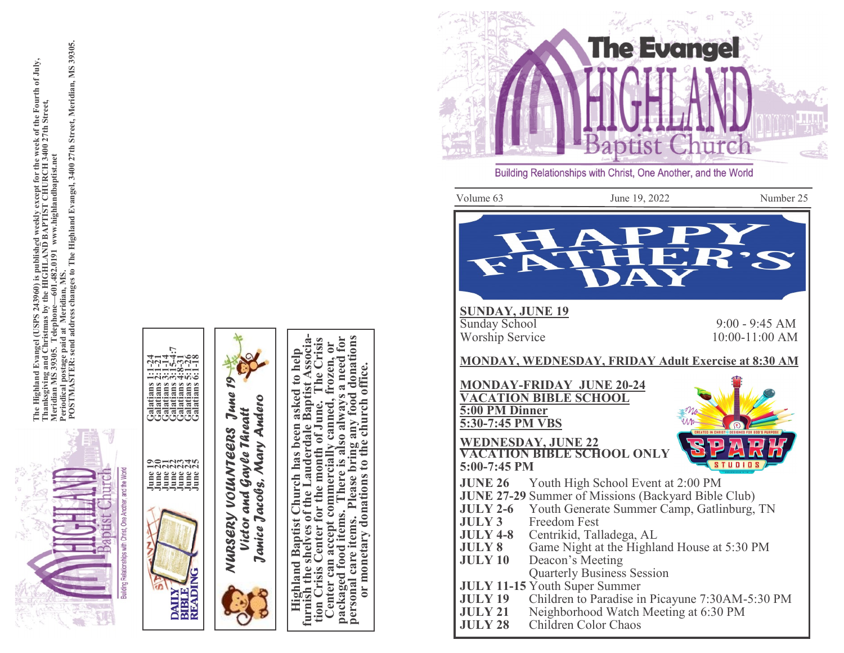

The Highland Evangel (USPS 243960) is published weekly except for the week of the Fourth of July,<br>Thanksgiving and Christmas by the HIGHLAND BAPTIST CHURCH 3400 27th Street,<br>Meridian MS 39305. Telephone—601.482.0191 www.hi The Highland Evangel (USPS 243960) is published weekly except for the week of the Fourth of July,<br>Thanksgiving and Christmas by the HIGHLAND BAPTIST CHURCH 3400 27th Street,<br>Periodical post 39305. Tat Meridim. 1482.0191 ww



Center can accept commercially canned, frozen, or<br>packaged food items. There is also always a need for<br>personal care items. Please bring any food donations<br>or monetary donations to the church office. **Highland Baptist Church has been asked to help furnish the shelves of the Lauderdale Baptist Associa- tion Crisis Center for the month of June. The Crisis**  donations The Crisis for nnercially canned, frozen, or<br>There is also always a need fo office. Please bring any food donations to the church ion Crisis Center for the month of June. enter can accept commerciall items. personal care items. monetary packaged food  $\overline{0}$ 



Volume 63 June 19, 2022 Number 25 **SUNDAY, JUNE 19** Sunday School 9:00  $9:00 - 9:45 AM$ Worship Service  $10:00-11:00$  AM **MONDAY, WEDNESDAY, FRIDAY Adult Exercise at 8:30 AM MONDAY -FRIDAY JUNE 20 -24 VACATION BIBLE SCHOOL 5:00 PM Dinner 5:30 -7:45 PM VBS WEDNESDAY, JUNE 22 VACATION BIBLE SCHOOL ONLY 5:00 -7:45 PM JUNE 26** Youth High School Event at 2:00 PM **JUNE 27 -29** Summer of Missions (Backyard Bible Club) **JULY 2-6** Youth Generate Summer Camp, Gatlinburg, TN **JULY 3** Freedom Fest

- **JULY 4 - 8** Centrikid, Talladega, AL
- **JULY 8** Game Night at the Highland House at 5:30 PM
- **JULY 10** Deacon's Meeting Quarterly Business Session
- **JULY 11 -15** Youth Super Summer
- **JULY 19** Children to Paradise in Picayune 7:30AM -5:30 PM
- **JULY 21** Neighborhood Watch Meeting at 6:30 PM
- **JULY 28** Children Color Chaos